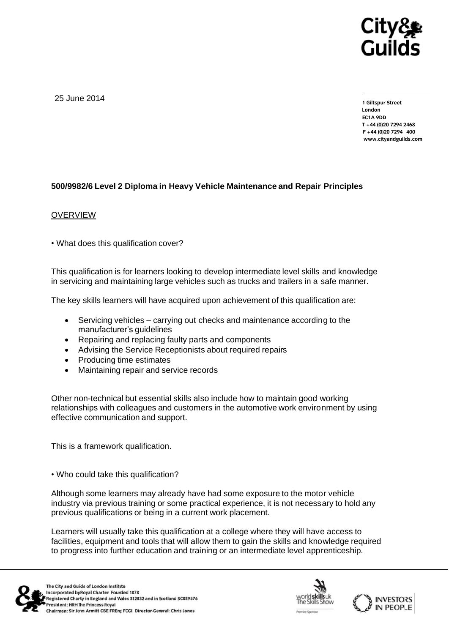

25 June 2014

**1 Giltspur Street EC1A 9DD** T +44 (0)20 7294 2468 **T +44 (0)20 7294 2468 F [+44 \(0\)20 7294](http://www.cityandguilds.com/) 400 www.cityandguilds.com**

## **500/9982/6 Level 2 Diploma in Heavy Vehicle Maintenance and Repair Principles**

#### **OVERVIEW**

• What does this qualification cover?

This qualification is for learners looking to develop intermediate level skills and knowledge in servicing and maintaining large vehicles such as trucks and trailers in a safe manner.

The key skills learners will have acquired upon achievement of this qualification are:

- Servicing vehicles carrying out checks and maintenance according to the manufacturer's guidelines
- Repairing and replacing faulty parts and components
- Advising the Service Receptionists about required repairs
- Producing time estimates
- Maintaining repair and service records

Other non-technical but essential skills also include how to maintain good working relationships with colleagues and customers in the automotive work environment by using effective communication and support.

This is a framework qualification.

• Who could take this qualification?

Although some learners may already have had some exposure to the motor vehicle industry via previous training or some practical experience, it is not necessary to hold any previous qualifications or being in a current work placement.

Learners will usually take this qualification at a college where they will have access to facilities, equipment and tools that will allow them to gain the skills and knowledge required to progress into further education and training or an intermediate level apprenticeship.